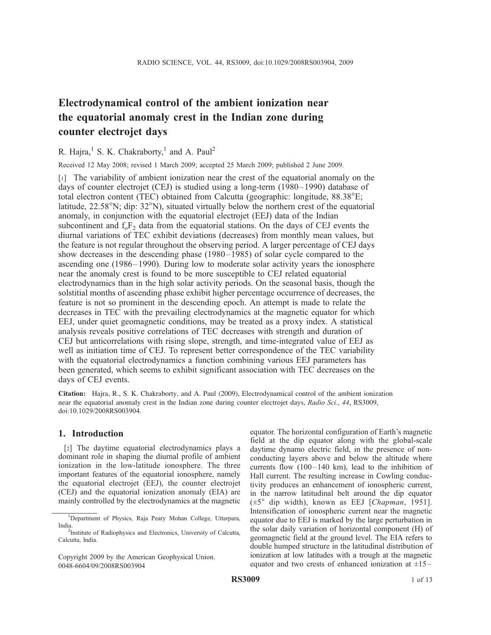# Electrodynamical control of the ambient ionization near the equatorial anomaly crest in the Indian zone during counter electrojet days

## R. Hajra, <sup>1</sup> S. K. Chakraborty, <sup>1</sup> and A. Paul<sup>2</sup>

Received 12 May 2008; revised 1 March 2009; accepted 25 March 2009; published 2 June 2009.

[1] The variability of ambient ionization near the crest of the equatorial anomaly on the days of counter electrojet (CEJ) is studied using a long-term (1980–1990) database of total electron content (TEC) obtained from Calcutta (geographic: longitude,  $88.38^{\circ}E$ ; latitude,  $22.58^{\circ}$ N; dip:  $32^{\circ}$ N), situated virtually below the northern crest of the equatorial anomaly, in conjunction with the equatorial electrojet (EEJ) data of the Indian subcontinent and  $f_0F_2$  data from the equatorial stations. On the days of CEJ events the diurnal variations of TEC exhibit deviations (decreases) from monthly mean values, but the feature is not regular throughout the observing period. A larger percentage of CEJ days show decreases in the descending phase (1980–1985) of solar cycle compared to the ascending one (1986–1990). During low to moderate solar activity years the ionosphere near the anomaly crest is found to be more susceptible to CEJ related equatorial electrodynamics than in the high solar activity periods. On the seasonal basis, though the solstitial months of ascending phase exhibit higher percentage occurrence of decreases, the feature is not so prominent in the descending epoch. An attempt is made to relate the decreases in TEC with the prevailing electrodynamics at the magnetic equator for which EEJ, under quiet geomagnetic conditions, may be treated as a proxy index. A statistical analysis reveals positive correlations of TEC decreases with strength and duration of CEJ but anticorrelations with rising slope, strength, and time-integrated value of EEJ as well as initiation time of CEJ. To represent better correspondence of the TEC variability with the equatorial electrodynamics a function combining various EEJ parameters has been generated, which seems to exhibit significant association with TEC decreases on the days of CEJ events.

Citation: Hajra, R., S. K. Chakraborty, and A. Paul (2009), Electrodynamical control of the ambient ionization near the equatorial anomaly crest in the Indian zone during counter electrojet days, Radio Sci., 44, RS3009, doi:10.1029/2008RS003904.

## 1. Introduction

[2] The daytime equatorial electrodynamics plays a dominant role in shaping the diurnal profile of ambient ionization in the low-latitude ionosphere. The three important features of the equatorial ionosphere, namely the equatorial electrojet (EEJ), the counter electrojet (CEJ) and the equatorial ionization anomaly (EIA) are mainly controlled by the electrodynamics at the magnetic

equator. The horizontal configuration of Earth's magnetic field at the dip equator along with the global-scale daytime dynamo electric field, in the presence of nonconducting layers above and below the altitude where currents flow  $(100-140 \text{ km})$ , lead to the inhibition of Hall current. The resulting increase in Cowling conductivity produces an enhancement of ionospheric current, in the narrow latitudinal belt around the dip equator  $(\pm 5^{\circ}$  dip width), known as EEJ [*Chapman*, 1951]. Intensification of ionospheric current near the magnetic equator due to EEJ is marked by the large perturbation in the solar daily variation of horizontal component (H) of geomagnetic field at the ground level. The EIA refers to double humped structure in the latitudinal distribution of ionization at low latitudes with a trough at the magnetic equator and two crests of enhanced ionization at  $\pm 15$  –

<sup>&</sup>lt;sup>1</sup>Department of Physics, Raja Peary Mohan College, Uttarpara, India.

<sup>&</sup>lt;sup>2</sup>Institute of Radiophysics and Electronics, University of Calcutta, Calcutta, India.

Copyright 2009 by the American Geophysical Union. 0048-6604/09/2008RS003904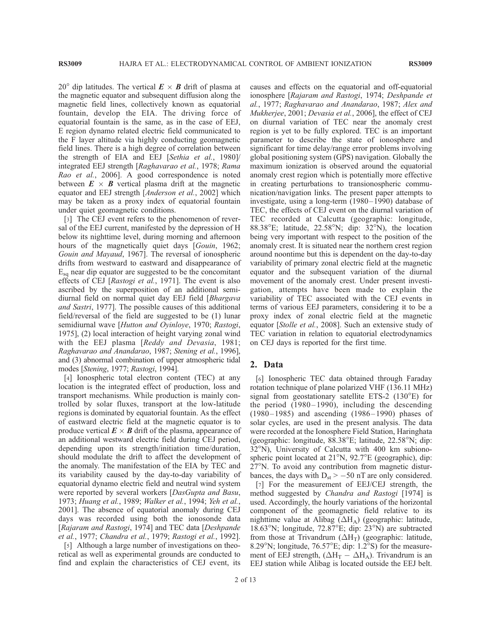20<sup>°</sup> dip latitudes. The vertical  $E \times B$  drift of plasma at the magnetic equator and subsequent diffusion along the magnetic field lines, collectively known as equatorial fountain, develop the EIA. The driving force of equatorial fountain is the same, as in the case of EEJ, E region dynamo related electric field communicated to the F layer altitude via highly conducting geomagnetic field lines. There is a high degree of correlation between the strength of EIA and EEJ [Sethia et al., 1980]/ integrated EEJ strength [Raghavarao et al., 1978; Rama Rao et al., 2006]. A good correspondence is noted between  $E \times B$  vertical plasma drift at the magnetic equator and EEJ strength [Anderson et al., 2002] which may be taken as a proxy index of equatorial fountain under quiet geomagnetic conditions.

[3] The CEJ event refers to the phenomenon of reversal of the EEJ current, manifested by the depression of H below its nighttime level, during morning and afternoon hours of the magnetically quiet days [Gouin, 1962; Gouin and Mayaud, 1967]. The reversal of ionospheric drifts from westward to eastward and disappearance of  $E_{\rm{sa}}$  near dip equator are suggested to be the concomitant effects of CEJ [Rastogi et al., 1971]. The event is also ascribed by the superposition of an additional semidiurnal field on normal quiet day EEJ field [Bhargava and Sastri, 1977]. The possible causes of this additional field/reversal of the field are suggested to be (1) lunar semidiurnal wave [Hutton and Oyinloye, 1970; Rastogi, 1975], (2) local interaction of height varying zonal wind with the EEJ plasma [Reddy and Devasia, 1981; Raghavarao and Anandarao, 1987; Stening et al., 1996], and (3) abnormal combination of upper atmospheric tidal modes [Stening, 1977; Rastogi, 1994].

[4] Ionospheric total electron content (TEC) at any location is the integrated effect of production, loss and transport mechanisms. While production is mainly controlled by solar fluxes, transport at the low-latitude regions is dominated by equatorial fountain. As the effect of eastward electric field at the magnetic equator is to produce vertical  $\mathbf{E} \times \mathbf{B}$  drift of the plasma, appearance of an additional westward electric field during CEJ period, depending upon its strength/initiation time/duration, should modulate the drift to affect the development of the anomaly. The manifestation of the EIA by TEC and its variability caused by the day-to-day variability of equatorial dynamo electric field and neutral wind system were reported by several workers [DasGupta and Basu, 1973; Huang et al., 1989; Walker et al., 1994; Yeh et al., 2001]. The absence of equatorial anomaly during CEJ days was recorded using both the ionosonde data [Rajaram and Rastogi, 1974] and TEC data [Deshpande et al., 1977; Chandra et al., 1979; Rastogi et al., 1992].

[5] Although a large number of investigations on theoretical as well as experimental grounds are conducted to find and explain the characteristics of CEJ event, its causes and effects on the equatorial and off-equatorial ionosphere [Rajaram and Rastogi, 1974; Deshpande et al., 1977; Raghavarao and Anandarao, 1987; Alex and Mukherjee, 2001; Devasia et al., 2006], the effect of CEJ on diurnal variation of TEC near the anomaly crest region is yet to be fully explored. TEC is an important parameter to describe the state of ionosphere and significant for time delay/range error problems involving global positioning system (GPS) navigation. Globally the maximum ionization is observed around the equatorial anomaly crest region which is potentially more effective in creating perturbations to transionospheric communication/navigation links. The present paper attempts to investigate, using a long-term (1980– 1990) database of TEC, the effects of CEJ event on the diurnal variation of TEC recorded at Calcutta (geographic: longitude, 88.38 $\mathrm{E}$ ; latitude, 22.58 $\mathrm{N}$ ; dip: 32 $\mathrm{N}$ ), the location being very important with respect to the position of the anomaly crest. It is situated near the northern crest region around noontime but this is dependent on the day-to-day variability of primary zonal electric field at the magnetic equator and the subsequent variation of the diurnal movement of the anomaly crest. Under present investigation, attempts have been made to explain the variability of TEC associated with the CEJ events in terms of various EEJ parameters, considering it to be a proxy index of zonal electric field at the magnetic equator [Stolle et al., 2008]. Such an extensive study of TEC variation in relation to equatorial electrodynamics on CEJ days is reported for the first time.

### 2. Data

[6] Ionospheric TEC data obtained through Faraday rotation technique of plane polarized VHF (136.11 MHz) signal from geostationary satellite ETS-2  $(130^{\circ}E)$  for the period  $(1980-1990)$ , including the descending (1980– 1985) and ascending (1986 – 1990) phases of solar cycles, are used in the present analysis. The data were recorded at the Ionosphere Field Station, Haringhata (geographic: longitude,  $88.38^{\circ}E$ ; latitude,  $22.58^{\circ}N$ ; dip: 32°N), University of Calcutta with 400 km subionospheric point located at  $21^{\circ}$ N,  $92.7^{\circ}$ E (geographic), dip:  $27^{\circ}$ N. To avoid any contribution from magnetic disturbances, the days with  $D_{st}$  > -50 nT are only considered.

[7] For the measurement of EEJ/CEJ strength, the method suggested by Chandra and Rastogi [1974] is used. Accordingly, the hourly variations of the horizontal component of the geomagnetic field relative to its nighttime value at Alibag  $(\Delta H_A)$  (geographic: latitude, 18.63°N; longitude,  $72.87^{\circ}E$ ; dip:  $23^{\circ}N$ ) are subtracted from those at Trivandrum  $(\Delta H_T)$  (geographic: latitude, 8.29°N; longitude, 76.57°E; dip: 1.2°S) for the measurement of EEJ strength,  $(\Delta H_T - \Delta H_A)$ . Trivandrum is an EEJ station while Alibag is located outside the EEJ belt.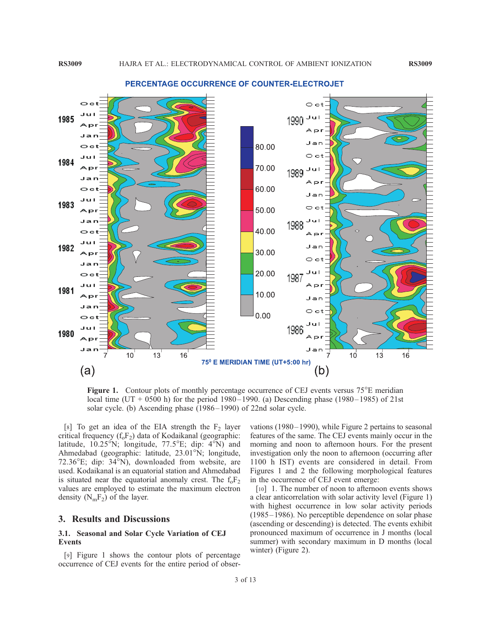

#### PERCENTAGE OCCURRENCE OF COUNTER-ELECTROJET

Figure 1. Contour plots of monthly percentage occurrence of CEJ events versus  $75^{\circ}E$  meridian local time (UT + 0500 h) for the period 1980–1990. (a) Descending phase (1980–1985) of 21st solar cycle. (b) Ascending phase (1986–1990) of 22nd solar cycle.

[8] To get an idea of the EIA strength the  $F_2$  layer critical frequency  $(f_0F_2)$  data of Kodaikanal (geographic: latitude,  $10.25^{\circ}$ N; longitude,  $77.5^{\circ}$ E; dip:  $4^{\circ}$ N) and Ahmedabad (geographic: latitude, 23.01°N; longitude, 72.36 $\mathrm{E}$ ; dip: 34 $\mathrm{N}$ ), downloaded from website, are used. Kodaikanal is an equatorial station and Ahmedabad is situated near the equatorial anomaly crest. The  $f_0F_2$ values are employed to estimate the maximum electron density  $(N_mF_2)$  of the layer.

#### 3. Results and Discussions

#### 3.1. Seasonal and Solar Cycle Variation of CEJ Events

[9] Figure 1 shows the contour plots of percentage occurrence of CEJ events for the entire period of observations (1980– 1990), while Figure 2 pertains to seasonal features of the same. The CEJ events mainly occur in the morning and noon to afternoon hours. For the present investigation only the noon to afternoon (occurring after 1100 h IST) events are considered in detail. From Figures 1 and 2 the following morphological features in the occurrence of CEJ event emerge:

[10] 1. The number of noon to afternoon events shows a clear anticorrelation with solar activity level (Figure 1) with highest occurrence in low solar activity periods (1985 –1986). No perceptible dependence on solar phase (ascending or descending) is detected. The events exhibit pronounced maximum of occurrence in J months (local summer) with secondary maximum in D months (local winter) (Figure 2).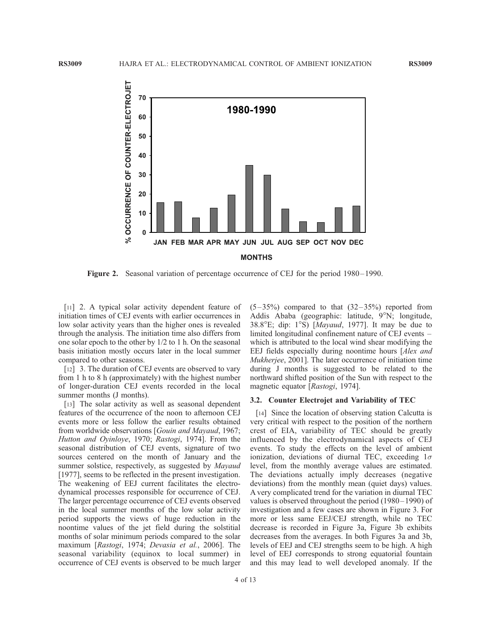

Figure 2. Seasonal variation of percentage occurrence of CEJ for the period 1980–1990.

[11] 2. A typical solar activity dependent feature of initiation times of CEJ events with earlier occurrences in low solar activity years than the higher ones is revealed through the analysis. The initiation time also differs from one solar epoch to the other by 1/2 to 1 h. On the seasonal basis initiation mostly occurs later in the local summer compared to other seasons.

[12] 3. The duration of CEJ events are observed to vary from 1 h to 8 h (approximately) with the highest number of longer-duration CEJ events recorded in the local summer months (J months).

[13] The solar activity as well as seasonal dependent features of the occurrence of the noon to afternoon CEJ events more or less follow the earlier results obtained from worldwide observations [Gouin and Mayaud, 1967; Hutton and Oyinloye, 1970; Rastogi, 1974]. From the seasonal distribution of CEJ events, signature of two sources centered on the month of January and the summer solstice, respectively, as suggested by *Mayaud* [1977], seems to be reflected in the present investigation. The weakening of EEJ current facilitates the electrodynamical processes responsible for occurrence of CEJ. The larger percentage occurrence of CEJ events observed in the local summer months of the low solar activity period supports the views of huge reduction in the noontime values of the jet field during the solstitial months of solar minimum periods compared to the solar maximum [Rastogi, 1974; Devasia et al., 2006]. The seasonal variability (equinox to local summer) in occurrence of CEJ events is observed to be much larger  $(5-35%)$  compared to that  $(32-35%)$  reported from Addis Ababa (geographic: latitude, 9°N; longitude, 38.8 $\textdegree$ E; dip: 1 $\textdegree$ S) [Mayaud, 1977]. It may be due to limited longitudinal confinement nature of CEJ events – which is attributed to the local wind shear modifying the EEJ fields especially during noontime hours [Alex and Mukherjee, 2001]. The later occurrence of initiation time during J months is suggested to be related to the northward shifted position of the Sun with respect to the magnetic equator [Rastogi, 1974].

#### 3.2. Counter Electrojet and Variability of TEC

[14] Since the location of observing station Calcutta is very critical with respect to the position of the northern crest of EIA, variability of TEC should be greatly influenced by the electrodynamical aspects of CEJ events. To study the effects on the level of ambient ionization, deviations of diurnal TEC, exceeding  $1\sigma$ level, from the monthly average values are estimated. The deviations actually imply decreases (negative deviations) from the monthly mean (quiet days) values. A very complicated trend for the variation in diurnal TEC values is observed throughout the period (1980–1990) of investigation and a few cases are shown in Figure 3. For more or less same EEJ/CEJ strength, while no TEC decrease is recorded in Figure 3a, Figure 3b exhibits decreases from the averages. In both Figures 3a and 3b, levels of EEJ and CEJ strengths seem to be high. A high level of EEJ corresponds to strong equatorial fountain and this may lead to well developed anomaly. If the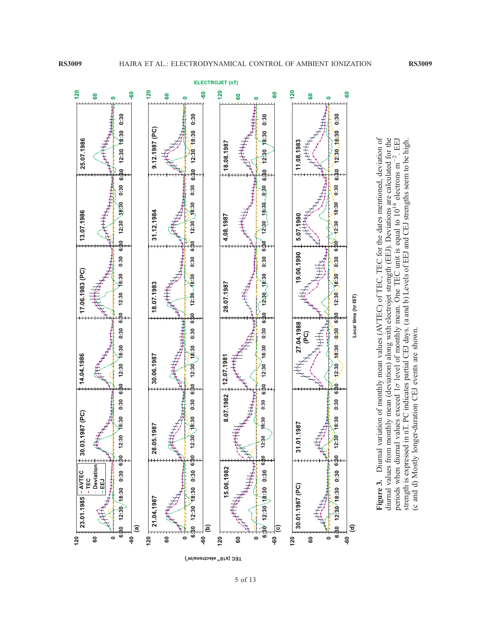periods when diurnal values exceed 1

(c and d) Mostly longer-duration CEJ events are shown.

(c and d) Mostly longer-duration CEJ events are shown.

p

strength is expressed in nT. PC indicates partial CEJ days. (a and b) Levels of EEJ and CEJ strengths seem to be high.



TEC (x10<sup>16</sup> electrons/m<sup>2</sup>)

5 of 13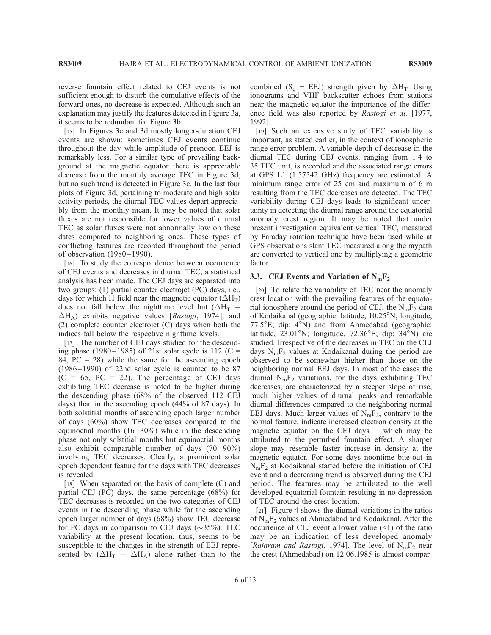reverse fountain effect related to CEJ events is not sufficient enough to disturb the cumulative effects of the forward ones, no decrease is expected. Although such an explanation may justify the features detected in Figure 3a, it seems to be redundant for Figure 3b.

[15] In Figures 3c and 3d mostly longer-duration CEJ events are shown: sometimes CEJ events continue throughout the day while amplitude of prenoon EEJ is remarkably less. For a similar type of prevailing background at the magnetic equator there is appreciable decrease from the monthly average TEC in Figure 3d, but no such trend is detected in Figure 3c. In the last four plots of Figure 3d, pertaining to moderate and high solar activity periods, the diurnal TEC values depart appreciably from the monthly mean. It may be noted that solar fluxes are not responsible for lower values of diurnal TEC as solar fluxes were not abnormally low on these dates compared to neighboring ones. These types of conflicting features are recorded throughout the period of observation (1980 –1990).

[16] To study the correspondence between occurrence of CEJ events and decreases in diurnal TEC, a statistical analysis has been made. The CEJ days are separated into two groups: (1) partial counter electrojet (PC) days, i.e., days for which H field near the magnetic equator ( $\Delta H_T$ ) does not fall below the nighttime level but ( $\Delta H_T$  - $\Delta H_A$ ) exhibits negative values [Rastogi, 1974], and (2) complete counter electrojet (C) days when both the indices fall below the respective nighttime levels.

[17] The number of CEJ days studied for the descending phase (1980–1985) of 21st solar cycle is 112 (C = 84,  $PC = 28$ ) while the same for the ascending epoch  $(1986 - 1990)$  of 22nd solar cycle is counted to be 87  $(C = 65, PC = 22)$ . The percentage of CEJ days exhibiting TEC decrease is noted to be higher during the descending phase (68% of the observed 112 CEJ days) than in the ascending epoch (44% of 87 days). In both solstitial months of ascending epoch larger number of days (60%) show TEC decreases compared to the equinoctial months  $(16-30\%)$  while in the descending phase not only solstitial months but equinoctial months also exhibit comparable number of days  $(70-90\%)$ involving TEC decreases. Clearly, a prominent solar epoch dependent feature for the days with TEC decreases is revealed.

[18] When separated on the basis of complete (C) and partial CEJ (PC) days, the same percentage (68%) for TEC decreases is recorded on the two categories of CEJ events in the descending phase while for the ascending epoch larger number of days (68%) show TEC decrease for PC days in comparison to CEJ days  $(\sim 35\%)$ . TEC variability at the present location, thus, seems to be susceptible to the changes in the strength of EEJ represented by  $(\Delta H_T - \tilde{\Delta} H_A)$  alone rather than to the combined (S<sub>q</sub> + EEJ) strength given by  $\Delta H_T$ . Using ionograms and VHF backscatter echoes from stations near the magnetic equator the importance of the difference field was also reported by Rastogi et al. [1977, 1992].

[19] Such an extensive study of TEC variability is important, as stated earlier, in the context of ionospheric range error problem. A variable depth of decrease in the diurnal TEC during CEJ events, ranging from 1.4 to 35 TEC unit, is recorded and the associated range errors at GPS L1 (1.57542 GHz) frequency are estimated. A minimum range error of 25 cm and maximum of 6 m resulting from the TEC decreases are detected. The TEC variability during CEJ days leads to significant uncertainty in detecting the diurnal range around the equatorial anomaly crest region. It may be noted that under present investigation equivalent vertical TEC, measured by Faraday rotation technique have been used while at GPS observations slant TEC measured along the raypath are converted to vertical one by multiplying a geometric factor.

#### 3.3. CEJ Events and Variation of  $N_mF_2$

[20] To relate the variability of TEC near the anomaly crest location with the prevailing features of the equatorial ionosphere around the period of CEJ, the  $N_mF_2$  data of Kodaikanal (geographic: latitude, 10.25°N; longitude,  $77.5^{\circ}$ E; dip:  $4^{\circ}$ N) and from Ahmedabad (geographic: latitude,  $23.01^{\circ}$ N; longitude,  $72.36^{\circ}$ E; dip:  $34^{\circ}$ N) are studied. Irrespective of the decreases in TEC on the CEJ days  $N_mF_2$  values at Kodaikanal during the period are observed to be somewhat higher than those on the neighboring normal EEJ days. In most of the cases the diurnal  $N_mF_2$  variations, for the days exhibiting TEC decreases, are characterized by a steeper slope of rise, much higher values of diurnal peaks and remarkable diurnal differences compared to the neighboring normal EEJ days. Much larger values of  $N_mF_2$ , contrary to the normal feature, indicate increased electron density at the magnetic equator on the CEJ days – which may be attributed to the perturbed fountain effect. A sharper slope may resemble faster increase in density at the magnetic equator. For some days noontime bite-out in  $N_mF_2$  at Kodaikanal started before the initiation of CEJ event and a decreasing trend is observed during the CEJ period. The features may be attributed to the well developed equatorial fountain resulting in no depression of TEC around the crest location.

[21] Figure 4 shows the diurnal variations in the ratios of  $N_mF_2$  values at Ahmedabad and Kodaikanal. After the occurrence of CEJ event a lower value  $(\leq 1)$  of the ratio may be an indication of less developed anomaly [Rajaram and Rastogi, 1974]. The level of  $N_mF_2$  near the crest (Ahmedabad) on 12.06.1985 is almost compar-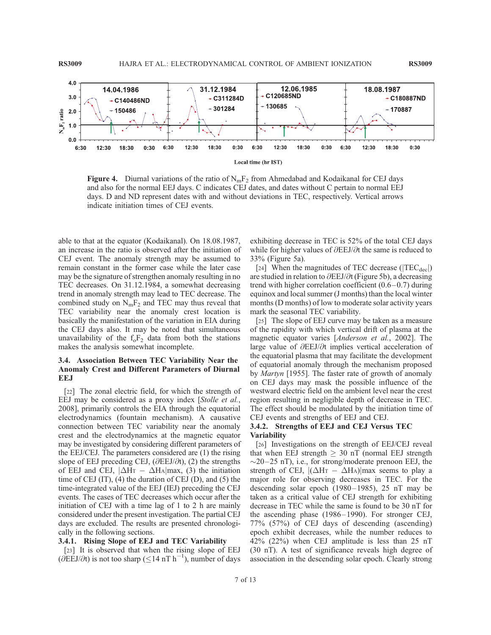

**Figure 4.** Diurnal variations of the ratio of  $N_mF_2$  from Ahmedabad and Kodaikanal for CEJ days and also for the normal EEJ days. C indicates CEJ dates, and dates without C pertain to normal EEJ days. D and ND represent dates with and without deviations in TEC, respectively. Vertical arrows indicate initiation times of CEJ events.

able to that at the equator (Kodaikanal). On 18.08.1987, an increase in the ratio is observed after the initiation of CEJ event. The anomaly strength may be assumed to remain constant in the former case while the later case may be the signature of strengthen anomaly resulting in no TEC decreases. On 31.12.1984, a somewhat decreasing trend in anomaly strength may lead to TEC decrease. The combined study on  $N_mF_2$  and TEC may thus reveal that TEC variability near the anomaly crest location is basically the manifestation of the variation in EIA during the CEJ days also. It may be noted that simultaneous unavailability of the  $f_0F_2$  data from both the stations makes the analysis somewhat incomplete.

## 3.4. Association Between TEC Variability Near the Anomaly Crest and Different Parameters of Diurnal EEJ

[22] The zonal electric field, for which the strength of EEJ may be considered as a proxy index [Stolle et al., 2008], primarily controls the EIA through the equatorial electrodynamics (fountain mechanism). A causative connection between TEC variability near the anomaly crest and the electrodynamics at the magnetic equator may be investigated by considering different parameters of the EEJ/CEJ. The parameters considered are (1) the rising slope of EEJ preceding CEJ, ( $\partial$ EEJ/ $\partial t$ ), (2) the strengths of EEJ and CEJ,  $|\Delta H_T - \Delta H_A|$ max, (3) the initiation time of CEJ  $(IT)$ ,  $(4)$  the duration of CEJ  $(D)$ , and  $(5)$  the time-integrated value of the EEJ (IEJ) preceding the CEJ events. The cases of TEC decreases which occur after the initiation of CEJ with a time lag of 1 to 2 h are mainly considered under the present investigation. The partial CEJ days are excluded. The results are presented chronologically in the following sections.

#### 3.4.1. Rising Slope of EEJ and TEC Variability

[23] It is observed that when the rising slope of EEJ  $(\partial \text{EEJ}/\partial t)$  is not too sharp ( $\leq 14$  nT h<sup>-1</sup>), number of days

exhibiting decrease in TEC is 52% of the total CEJ days while for higher values of  $\partial$ EEJ/ $\partial$ t the same is reduced to 33% (Figure 5a).

[24] When the magnitudes of TEC decrease ( $|TEC_{dec}|$ ) are studied in relation to  $\partial$ EEJ/ $\partial$ t (Figure 5b), a decreasing trend with higher correlation coefficient  $(0.6-0.7)$  during equinox and local summer (J months) than the local winter months (D months) of low to moderate solar activity years mark the seasonal TEC variability.

[25] The slope of EEJ curve may be taken as a measure of the rapidity with which vertical drift of plasma at the magnetic equator varies [Anderson et al., 2002]. The large value of  $\partial$ EEJ/ $\partial$ t implies vertical acceleration of the equatorial plasma that may facilitate the development of equatorial anomaly through the mechanism proposed by *Martyn* [1955]. The faster rate of growth of anomaly on CEJ days may mask the possible influence of the westward electric field on the ambient level near the crest region resulting in negligible depth of decrease in TEC. The effect should be modulated by the initiation time of CEJ events and strengths of EEJ and CEJ.

#### 3.4.2. Strengths of EEJ and CEJ Versus TEC Variability

[26] Investigations on the strength of EEJ/CEJ reveal that when EEJ strength  $\geq$  30 nT (normal EEJ strength  $\sim$ 20–25 nT), i.e., for strong/moderate prenoon EEJ, the strength of CEJ,  $|(\Delta HT - \Delta HA)|$  max seems to play a major role for observing decreases in TEC. For the descending solar epoch  $(1980 - 1985)$ , 25 nT may be taken as a critical value of CEJ strength for exhibiting decrease in TEC while the same is found to be 30 nT for the ascending phase (1986–1990). For stronger CEJ, 77% (57%) of CEJ days of descending (ascending) epoch exhibit decreases, while the number reduces to 42% (22%) when CEJ amplitude is less than 25 nT (30 nT). A test of significance reveals high degree of association in the descending solar epoch. Clearly strong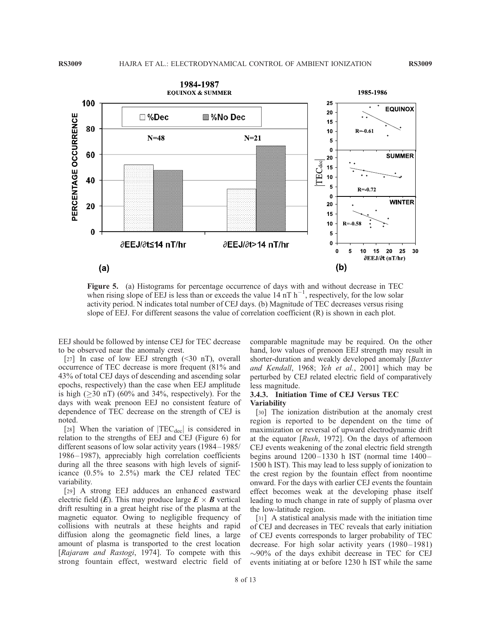

Figure 5. (a) Histograms for percentage occurrence of days with and without decrease in TEC when rising slope of EEJ is less than or exceeds the value  $14 \text{ nT h}^{-1}$ , respectively, for the low solar activity period. N indicates total number of CEJ days. (b) Magnitude of TEC decreases versus rising slope of EEJ. For different seasons the value of correlation coefficient (R) is shown in each plot.

EEJ should be followed by intense CEJ for TEC decrease to be observed near the anomaly crest.

[27] In case of low EEJ strength  $(\leq 30 \text{ nT})$ , overall occurrence of TEC decrease is more frequent (81% and 43% of total CEJ days of descending and ascending solar epochs, respectively) than the case when EEJ amplitude is high ( $\geq$ 30 nT) (60% and 34%, respectively). For the days with weak prenoon EEJ no consistent feature of dependence of TEC decrease on the strength of CEJ is noted.

[28] When the variation of  $|TEC_{dec}|$  is considered in relation to the strengths of EEJ and CEJ (Figure 6) for different seasons of low solar activity years (1984– 1985/ 1986 – 1987), appreciably high correlation coefficients during all the three seasons with high levels of significance (0.5% to 2.5%) mark the CEJ related TEC variability.

[29] A strong EEJ adduces an enhanced eastward electric field  $(E)$ . This may produce large  $E \times B$  vertical drift resulting in a great height rise of the plasma at the magnetic equator. Owing to negligible frequency of collisions with neutrals at these heights and rapid diffusion along the geomagnetic field lines, a large amount of plasma is transported to the crest location [Rajaram and Rastogi, 1974]. To compete with this strong fountain effect, westward electric field of comparable magnitude may be required. On the other hand, low values of prenoon EEJ strength may result in shorter-duration and weakly developed anomaly [*Baxter*] and Kendall, 1968; Yeh et al., 2001] which may be perturbed by CEJ related electric field of comparatively less magnitude.

#### 3.4.3. Initiation Time of CEJ Versus TEC Variability

[30] The ionization distribution at the anomaly crest region is reported to be dependent on the time of maximization or reversal of upward electrodynamic drift at the equator [Rush, 1972]. On the days of afternoon CEJ events weakening of the zonal electric field strength begins around  $1200-1330$  h IST (normal time  $1400-$ 1500 h IST). This may lead to less supply of ionization to the crest region by the fountain effect from noontime onward. For the days with earlier CEJ events the fountain effect becomes weak at the developing phase itself leading to much change in rate of supply of plasma over the low-latitude region.

[31] A statistical analysis made with the initiation time of CEJ and decreases in TEC reveals that early initiation of CEJ events corresponds to larger probability of TEC decrease. For high solar activity years (1980-1981)  $\sim$ 90% of the days exhibit decrease in TEC for CEJ events initiating at or before 1230 h IST while the same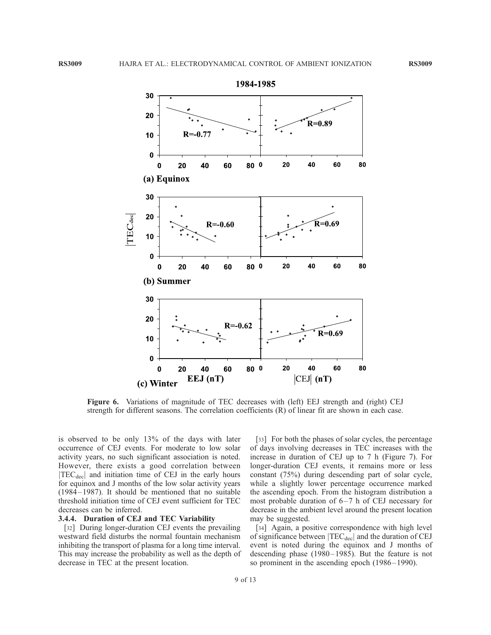

Figure 6. Variations of magnitude of TEC decreases with (left) EEJ strength and (right) CEJ strength for different seasons. The correlation coefficients (R) of linear fit are shown in each case.

is observed to be only 13% of the days with later occurrence of CEJ events. For moderate to low solar activity years, no such significant association is noted. However, there exists a good correlation between  $|TEC_{\text{dec}}|$  and initiation time of CEJ in the early hours for equinox and J months of the low solar activity years (1984 – 1987). It should be mentioned that no suitable threshold initiation time of CEJ event sufficient for TEC decreases can be inferred.

#### 3.4.4. Duration of CEJ and TEC Variability

[32] During longer-duration CEJ events the prevailing westward field disturbs the normal fountain mechanism inhibiting the transport of plasma for a long time interval. This may increase the probability as well as the depth of decrease in TEC at the present location.

[33] For both the phases of solar cycles, the percentage of days involving decreases in TEC increases with the increase in duration of CEJ up to 7 h (Figure 7). For longer-duration CEJ events, it remains more or less constant (75%) during descending part of solar cycle, while a slightly lower percentage occurrence marked the ascending epoch. From the histogram distribution a most probable duration of  $6-7$  h of CEJ necessary for decrease in the ambient level around the present location may be suggested.

[34] Again, a positive correspondence with high level of significance between  $|TEC_{dec}|$  and the duration of CEJ event is noted during the equinox and J months of descending phase (1980– 1985). But the feature is not so prominent in the ascending epoch (1986–1990).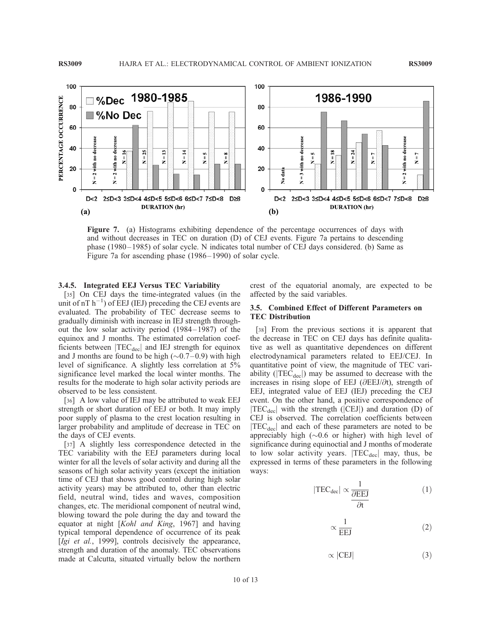

Figure 7. (a) Histograms exhibiting dependence of the percentage occurrences of days with and without decreases in TEC on duration (D) of CEJ events. Figure 7a pertains to descending phase (1980– 1985) of solar cycle. N indicates total number of CEJ days considered. (b) Same as Figure 7a for ascending phase (1986– 1990) of solar cycle.

#### 3.4.5. Integrated EEJ Versus TEC Variability

[35] On CEJ days the time-integrated values (in the unit of  $nT h^{-1}$ ) of EEJ (IEJ) preceding the CEJ events are evaluated. The probability of TEC decrease seems to gradually diminish with increase in IEJ strength throughout the low solar activity period (1984– 1987) of the equinox and J months. The estimated correlation coefficients between  $|TEC_{dec}|$  and IEJ strength for equinox and J months are found to be high  $(\sim 0.7 - 0.9)$  with high level of significance. A slightly less correlation at 5% significance level marked the local winter months. The results for the moderate to high solar activity periods are observed to be less consistent.

[36] A low value of IEJ may be attributed to weak EEJ strength or short duration of EEJ or both. It may imply poor supply of plasma to the crest location resulting in larger probability and amplitude of decrease in TEC on the days of CEJ events.

[37] A slightly less correspondence detected in the TEC variability with the EEJ parameters during local winter for all the levels of solar activity and during all the seasons of high solar activity years (except the initiation time of CEJ that shows good control during high solar activity years) may be attributed to, other than electric field, neutral wind, tides and waves, composition changes, etc. The meridional component of neutral wind, blowing toward the pole during the day and toward the equator at night [Kohl and King, 1967] and having typical temporal dependence of occurrence of its peak [Igi et al., 1999], controls decisively the appearance, strength and duration of the anomaly. TEC observations made at Calcutta, situated virtually below the northern

crest of the equatorial anomaly, are expected to be affected by the said variables.

#### 3.5. Combined Effect of Different Parameters on TEC Distribution

[38] From the previous sections it is apparent that the decrease in TEC on CEJ days has definite qualitative as well as quantitative dependences on different electrodynamical parameters related to EEJ/CEJ. In quantitative point of view, the magnitude of TEC variability ( $|TEC_{dec}|$ ) may be assumed to decrease with the increases in rising slope of EEJ ( $\partial$ EEJ/ $\partial$ t), strength of EEJ, integrated value of EEJ (IEJ) preceding the CEJ event. On the other hand, a positive correspondence of  $|TEC_{dec}|$  with the strength ( $|CEJ|$ ) and duration (D) of CEJ is observed. The correlation coefficients between  $|TEC<sub>dec</sub>|$  and each of these parameters are noted to be appreciably high  $(\sim 0.6$  or higher) with high level of significance during equinoctial and J months of moderate to low solar activity years.  $|TEC_{dec}|$  may, thus, be expressed in terms of these parameters in the following ways:

$$
|\text{TEC}_{\text{dec}}| \propto \frac{1}{\frac{\partial \text{EEJ}}{\partial t}}\tag{1}
$$

$$
\propto \frac{1}{EEJ} \tag{2}
$$

$$
\propto |\text{CEJ}| \tag{3}
$$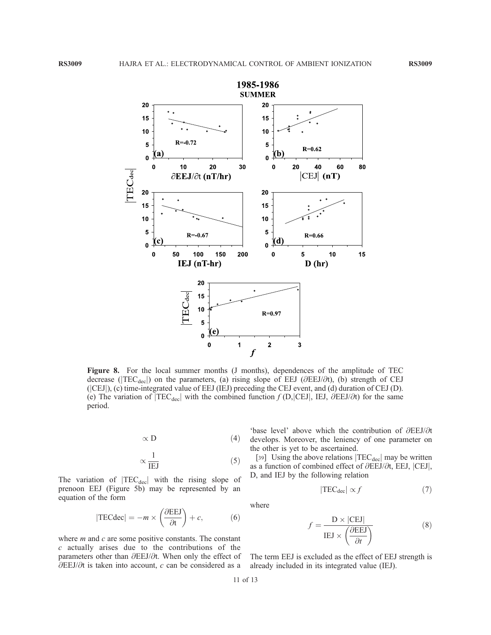

Figure 8. For the local summer months (J months), dependences of the amplitude of TEC decrease ( $|TEC_{\text{dec}}|$ ) on the parameters, (a) rising slope of EEJ ( $\partial EEJ/\partial t$ ), (b) strength of CEJ (jCEJj), (c) time-integrated value of EEJ (IEJ) preceding the CEJ event, and (d) duration of CEJ (D). (e) The variation of  $|TEC_{dec}|$  with the combined function  $f(D, |CEJ|, IEJ, \partial EEJ/\partial t)$  for the same period.

$$
\propto \mathbf{D} \tag{4}
$$

$$
\propto \frac{1}{IEJ} \tag{5}
$$

The variation of  $|TEC_{dec}|$  with the rising slope of prenoon EEJ (Figure 5b) may be represented by an equation of the form

$$
|\text{TECdec}| = -m \times \left(\frac{\partial \text{EEJ}}{\partial t}\right) + c,\tag{6}
$$

where  $m$  and  $c$  are some positive constants. The constant c actually arises due to the contributions of the parameters other than  $\partial$ EEJ/ $\partial$ t. When only the effect of  $\partial$ EEJ/ $\partial$ t is taken into account, c can be considered as a

'base level' above which the contribution of  $\partial E E J/\partial t$ develops. Moreover, the leniency of one parameter on the other is yet to be ascertained.

[39] Using the above relations  $|TEC_{dec}|$  may be written as a function of combined effect of  $\partial$ EEJ/ $\partial t$ , EEJ,  $|CEJ|$ , D, and IEJ by the following relation

$$
|\text{TEC}_{\text{dec}}| \propto f \tag{7}
$$

where

$$
f = \frac{\mathbf{D} \times |\text{CEJ}|}{\text{IEJ} \times \left(\frac{\partial \text{EEJ}}{\partial t}\right)}\tag{8}
$$

The term EEJ is excluded as the effect of EEJ strength is already included in its integrated value (IEJ).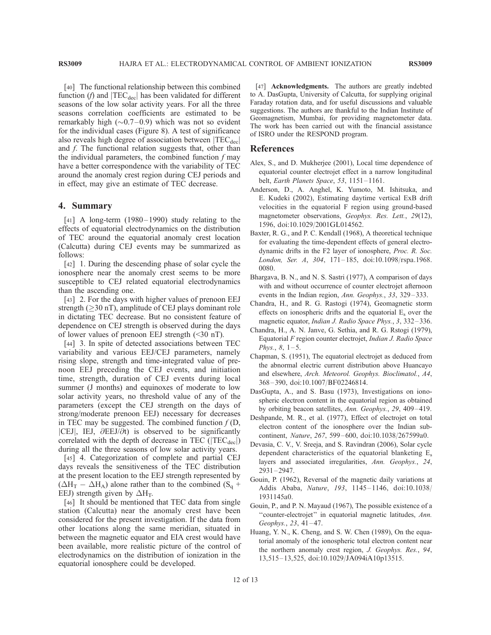[40] The functional relationship between this combined function (f) and  $|TEC_{dec}|$  has been validated for different seasons of the low solar activity years. For all the three seasons correlation coefficients are estimated to be remarkably high  $(\sim 0.7 - 0.9)$  which was not so evident for the individual cases (Figure 8). A test of significance also reveals high degree of association between  $|TEC_{dec}|$ and *f*. The functional relation suggests that, other than the individual parameters, the combined function  $f$  may have a better correspondence with the variability of TEC around the anomaly crest region during CEJ periods and in effect, may give an estimate of TEC decrease.

#### 4. Summary

 $\lceil 41 \rceil$  A long-term (1980–1990) study relating to the effects of equatorial electrodynamics on the distribution of TEC around the equatorial anomaly crest location (Calcutta) during CEJ events may be summarized as follows:

[42] 1. During the descending phase of solar cycle the ionosphere near the anomaly crest seems to be more susceptible to CEJ related equatorial electrodynamics than the ascending one.

[43] 2. For the days with higher values of prenoon EEJ strength ( $\geq$ 30 nT), amplitude of CEJ plays dominant role in dictating TEC decrease. But no consistent feature of dependence on CEJ strength is observed during the days of lower values of prenoon EEJ strength (<30 nT).

[44] 3. In spite of detected associations between TEC variability and various EEJ/CEJ parameters, namely rising slope, strength and time-integrated value of prenoon EEJ preceding the CEJ events, and initiation time, strength, duration of CEJ events during local summer (J months) and equinoxes of moderate to low solar activity years, no threshold value of any of the parameters (except the CEJ strength on the days of strong/moderate prenoon EEJ) necessary for decreases in TEC may be suggested. The combined function  $f(D)$ ,  $|CEJ|$ , IEJ,  $\partial EEJ/\partial t$ ) is observed to be significantly correlated with the depth of decrease in TEC ( $|TEC_{dec}|$ ) during all the three seasons of low solar activity years.

[45] 4. Categorization of complete and partial CEJ days reveals the sensitiveness of the TEC distribution at the present location to the EEJ strength represented by  $(\Delta H_T - \Delta H_A)$  alone rather than to the combined  $(S_q +$ EEJ) strength given by  $\Delta H_T$ .

[46] It should be mentioned that TEC data from single station (Calcutta) near the anomaly crest have been considered for the present investigation. If the data from other locations along the same meridian, situated in between the magnetic equator and EIA crest would have been available, more realistic picture of the control of electrodynamics on the distribution of ionization in the equatorial ionosphere could be developed.

[47] **Acknowledgments.** The authors are greatly indebted to A. DasGupta, University of Calcutta, for supplying original Faraday rotation data, and for useful discussions and valuable suggestions. The authors are thankful to the Indian Institute of Geomagnetism, Mumbai, for providing magnetometer data. The work has been carried out with the financial assistance of ISRO under the RESPOND program.

#### References

- Alex, S., and D. Mukherjee (2001), Local time dependence of equatorial counter electrojet effect in a narrow longitudinal belt, Earth Planets Space, 53, 1151-1161.
- Anderson, D., A. Anghel, K. Yumoto, M. Ishitsuka, and E. Kudeki (2002), Estimating daytime vertical ExB drift velocities in the equatorial F region using ground-based magnetometer observations, Geophys. Res. Lett., 29(12), 1596, doi:10.1029/2001GL014562.
- Baxter, R. G., and P. C. Kendall (1968), A theoretical technique for evaluating the time-dependent effects of general electrodynamic drifts in the F2 layer of ionosphere, Proc. R. Soc. London, Ser. A, 304, 171-185, doi:10.1098/rspa.1968. 0080.
- Bhargava, B. N., and N. S. Sastri (1977), A comparison of days with and without occurrence of counter electrojet afternoon events in the Indian region, Ann. Geophys., 33, 329-333.
- Chandra, H., and R. G. Rastogi (1974), Geomagnetic storm effects on ionospheric drifts and the equatorial  $E_s$  over the magnetic equator, Indian J. Radio Space Phys., 3, 332-336.
- Chandra, H., A. N. Janve, G. Sethia, and R. G. Rstogi (1979), Equatorial F region counter electrojet, Indian J. Radio Space Phys.,  $8, 1-5.$
- Chapman, S. (1951), The equatorial electrojet as deduced from the abnormal electric current distribution above Huancayo and elsewhere, Arch. Meteorol. Geophys. Bioclimatol., A4, 368 – 390, doi:10.1007/BF02246814.
- DasGupta, A., and S. Basu (1973), Investigations on ionospheric electron content in the equatorial region as obtained by orbiting beacon satellites, Ann. Geophys., 29, 409-419.
- Deshpande, M. R., et al. (1977), Effect of electrojet on total electron content of the ionosphere over the Indian subcontinent, Nature, 267, 599 – 600, doi:10.1038/267599a0.
- Devasia, C. V., V. Sreeja, and S. Ravindran (2006), Solar cycle dependent characteristics of the equatorial blanketing E. layers and associated irregularities, Ann. Geophys., 24, 2931 – 2947.
- Gouin, P. (1962), Reversal of the magnetic daily variations at Addis Ababa, Nature, 193, 1145-1146, doi:10.1038/ 1931145a0.
- Gouin, P., and P. N. Mayaud (1967), The possible existence of a "counter-electrojet" in equatorial magnetic latitudes, Ann. Geophys., 23, 41-47.
- Huang, Y. N., K. Cheng, and S. W. Chen (1989), On the equatorial anomaly of the ionospheric total electron content near the northern anomaly crest region, J. Geophys. Res., 94, 13,515 – 13,525, doi:10.1029/JA094iA10p13515.